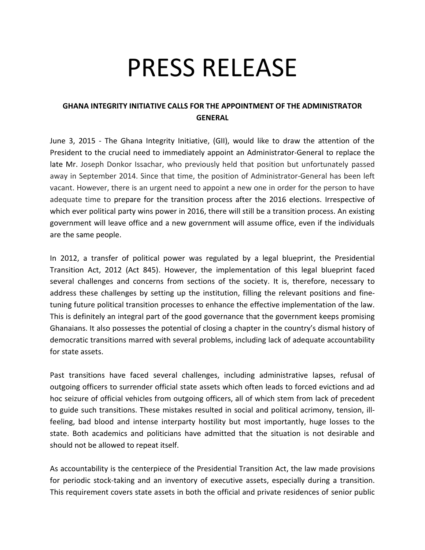## PRESS RELEASE

## **GHANA INTEGRITY INITIATIVE CALLS FOR THE APPOINTMENT OF THE ADMINISTRATOR GENERAL**

June 3, 2015 - The Ghana Integrity Initiative, (GII), would like to draw the attention of the President to the crucial need to immediately appoint an Administrator-General to replace the late Mr. Joseph Donkor Issachar, who previously held that position but unfortunately passed away in September 2014. Since that time, the position of Administrator-General has been left vacant. However, there is an urgent need to appoint a new one in order for the person to have adequate time to prepare for the transition process after the 2016 elections. Irrespective of which ever political party wins power in 2016, there will still be a transition process. An existing government will leave office and a new government will assume office, even if the individuals are the same people.

In 2012, a transfer of political power was regulated by a legal blueprint, the Presidential Transition Act, 2012 (Act 845). However, the implementation of this legal blueprint faced several challenges and concerns from sections of the society. It is, therefore, necessary to address these challenges by setting up the institution, filling the relevant positions and finetuning future political transition processes to enhance the effective implementation of the law. This is definitely an integral part of the good governance that the government keeps promising Ghanaians. It also possesses the potential of closing a chapter in the country's dismal history of democratic transitions marred with several problems, including lack of adequate accountability for state assets.

Past transitions have faced several challenges, including administrative lapses, refusal of outgoing officers to surrender official state assets which often leads to forced evictions and ad hoc seizure of official vehicles from outgoing officers, all of which stem from lack of precedent to guide such transitions. These mistakes resulted in social and political acrimony, tension, illfeeling, bad blood and intense interparty hostility but most importantly, huge losses to the state. Both academics and politicians have admitted that the situation is not desirable and should not be allowed to repeat itself.

As accountability is the centerpiece of the Presidential Transition Act, the law made provisions for periodic stock-taking and an inventory of executive assets, especially during a transition. This requirement covers state assets in both the official and private residences of senior public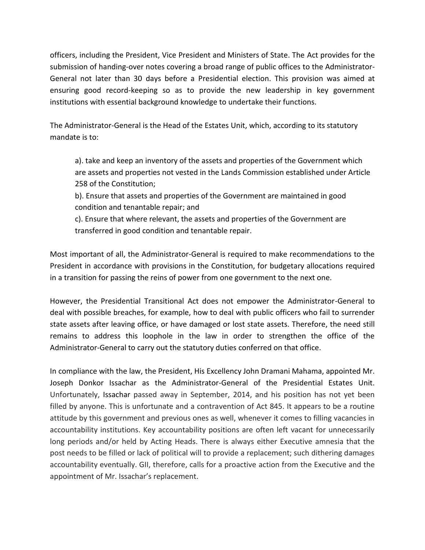officers, including the President, Vice President and Ministers of State. The Act provides for the submission of handing-over notes covering a broad range of public offices to the Administrator-General not later than 30 days before a Presidential election. This provision was aimed at ensuring good record-keeping so as to provide the new leadership in key government institutions with essential background knowledge to undertake their functions.

The Administrator-General is the Head of the Estates Unit, which, according to its statutory mandate is to:

a). take and keep an inventory of the assets and properties of the Government which are assets and properties not vested in the Lands Commission established under Article 258 of the Constitution;

b). Ensure that assets and properties of the Government are maintained in good condition and tenantable repair; and

c). Ensure that where relevant, the assets and properties of the Government are transferred in good condition and tenantable repair.

Most important of all, the Administrator-General is required to make recommendations to the President in accordance with provisions in the Constitution, for budgetary allocations required in a transition for passing the reins of power from one government to the next one.

However, the Presidential Transitional Act does not empower the Administrator-General to deal with possible breaches, for example, how to deal with public officers who fail to surrender state assets after leaving office, or have damaged or lost state assets. Therefore, the need still remains to address this loophole in the law in order to strengthen the office of the Administrator-General to carry out the statutory duties conferred on that office.

In compliance with the law, the President, His Excellency John Dramani Mahama, appointed Mr. Joseph Donkor Issachar as the Administrator-General of the Presidential Estates Unit. Unfortunately, Issachar passed away in September, 2014, and his position has not yet been filled by anyone. This is unfortunate and a contravention of Act 845. It appears to be a routine attitude by this government and previous ones as well, whenever it comes to filling vacancies in accountability institutions. Key accountability positions are often left vacant for unnecessarily long periods and/or held by Acting Heads. There is always either Executive amnesia that the post needs to be filled or lack of political will to provide a replacement; such dithering damages accountability eventually. GII, therefore, calls for a proactive action from the Executive and the appointment of Mr. Issachar's replacement.